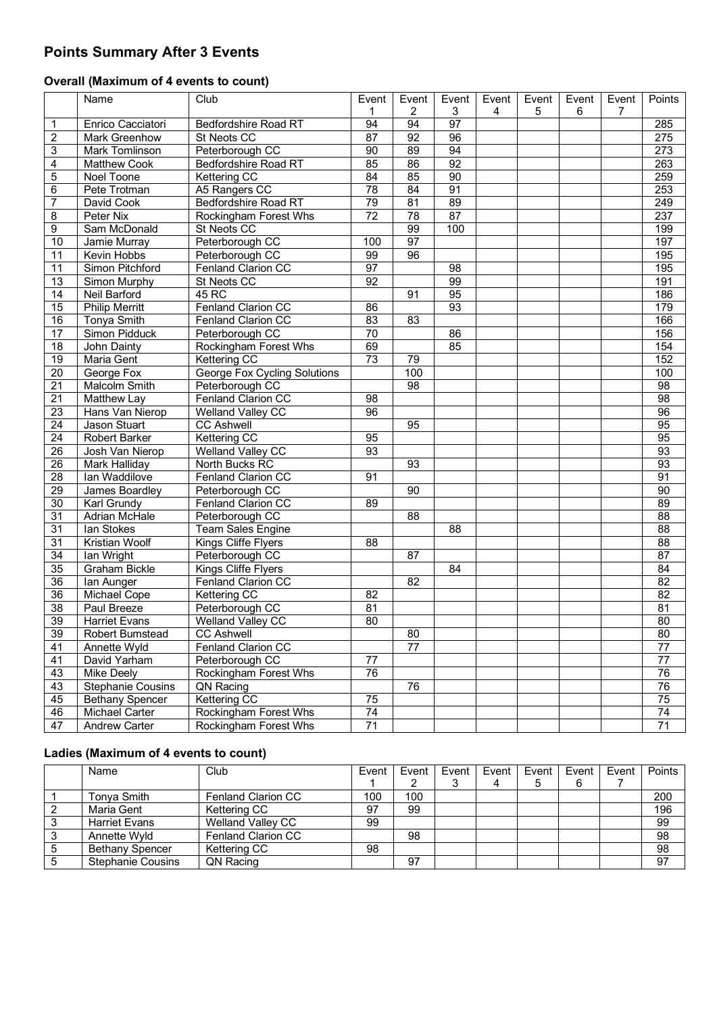# **Points Summary After 3 Events**

## **Overall (Maximum of 4 events to count)**

|                 | Name                     | Club                                | Event           | Event           | Event | Event | Event | Event | Event          | Points           |
|-----------------|--------------------------|-------------------------------------|-----------------|-----------------|-------|-------|-------|-------|----------------|------------------|
|                 |                          |                                     | 1               | $\overline{c}$  | 3     | 4     | 5     | 6     | $\overline{7}$ |                  |
| 1               | Enrico Cacciatori        | Bedfordshire Road RT                | 94              | 94              | 97    |       |       |       |                | 285              |
| $\overline{c}$  | Mark Greenhow            | St Neots CC                         | $\overline{87}$ | $\overline{92}$ | 96    |       |       |       |                | 275              |
| 3               | Mark Tomlinson           | Peterborough CC                     | 90              | 89              | 94    |       |       |       |                | $\overline{273}$ |
| 4               | <b>Matthew Cook</b>      | <b>Bedfordshire Road RT</b>         | 85              | 86              | 92    |       |       |       |                | 263              |
| 5               | Noel Toone               | Kettering CC                        | $\overline{84}$ | 85              | 90    |       |       |       |                | 259              |
| 6               | Pete Trotman             | A5 Rangers CC                       | $\overline{78}$ | 84              | 91    |       |       |       |                | 253              |
| $\overline{7}$  | David Cook               | <b>Bedfordshire Road RT</b>         | 79              | 81              | 89    |       |       |       |                | 249              |
| 8               | Peter Nix                | <b>Rockingham Forest Whs</b>        | $\overline{72}$ | 78              | 87    |       |       |       |                | 237              |
| $\overline{9}$  | Sam McDonald             | St Neots CC                         |                 | 99              | 100   |       |       |       |                | 199              |
| 10              | Jamie Murray             | Peterborough CC                     | 100             | 97              |       |       |       |       |                | 197              |
| 11              | <b>Kevin Hobbs</b>       | Peterborough CC                     | 99              | 96              |       |       |       |       |                | 195              |
| 11              | Simon Pitchford          | Fenland Clarion CC                  | 97              |                 | 98    |       |       |       |                | 195              |
| 13              | Simon Murphy             | St Neots CC                         | 92              |                 | 99    |       |       |       |                | 191              |
| 14              | Neil Barford             | 45 RC                               |                 | 91              | 95    |       |       |       |                | 186              |
| 15              | <b>Philip Merritt</b>    | Fenland Clarion CC                  | 86              |                 | 93    |       |       |       |                | 179              |
| 16              | <b>Tonya Smith</b>       | Fenland Clarion CC                  | $\overline{83}$ | $\overline{83}$ |       |       |       |       |                | 166              |
| $\overline{17}$ | Simon Pidduck            | Peterborough CC                     | $\overline{70}$ |                 | 86    |       |       |       |                | 156              |
| 18              | John Dainty              | Rockingham Forest Whs               | 69              |                 | 85    |       |       |       |                | 154              |
| 19              | Maria Gent               | Kettering CC                        | 73              | 79              |       |       |       |       |                | 152              |
| $\overline{20}$ | George Fox               | <b>George Fox Cycling Solutions</b> |                 | 100             |       |       |       |       |                | 100              |
| 21              | Malcolm Smith            | Peterborough CC                     |                 | 98              |       |       |       |       |                | $\overline{98}$  |
| $\overline{21}$ | Matthew Lay              | Fenland Clarion CC                  | 98              |                 |       |       |       |       |                | 98               |
| $\overline{23}$ | Hans Van Nierop          | <b>Welland Valley CC</b>            | 96              |                 |       |       |       |       |                | 96               |
| $\overline{24}$ | Jason Stuart             | <b>CC Ashwell</b>                   |                 | $\overline{95}$ |       |       |       |       |                | 95               |
| 24              | <b>Robert Barker</b>     | <b>Kettering CC</b>                 | 95              |                 |       |       |       |       |                | 95               |
| $\overline{26}$ | Josh Van Nierop          | Welland Valley CC                   | $\overline{93}$ |                 |       |       |       |       |                | 93               |
| $\overline{26}$ | <b>Mark Halliday</b>     | North Bucks RC                      |                 | 93              |       |       |       |       |                | 93               |
| $\overline{28}$ | lan Waddilove            | Fenland Clarion CC                  | 91              |                 |       |       |       |       |                | 91               |
| 29              | James Boardley           | Peterborough CC                     |                 | 90              |       |       |       |       |                | 90               |
| $\overline{30}$ | Karl Grundy              | Fenland Clarion CC                  | 89              |                 |       |       |       |       |                | 89               |
| 31              | Adrian McHale            | Peterborough CC                     |                 | 88              |       |       |       |       |                | $\overline{88}$  |
| $\overline{31}$ | lan Stokes               | <b>Team Sales Engine</b>            |                 |                 | 88    |       |       |       |                | 88               |
| 31              | Kristian Woolf           | Kings Cliffe Flyers                 | 88              |                 |       |       |       |       |                | $\overline{88}$  |
| $\overline{34}$ | Ian Wright               | Peterborough CC                     |                 | 87              |       |       |       |       |                | 87               |
| 35              | <b>Graham Bickle</b>     | Kings Cliffe Flyers                 |                 |                 | 84    |       |       |       |                | 84               |
| $\overline{36}$ | Ian Aunger               | Fenland Clarion CC                  |                 | $\overline{82}$ |       |       |       |       |                | 82               |
| $\overline{36}$ | Michael Cope             | Kettering CC                        | $\overline{82}$ |                 |       |       |       |       |                | 82               |
| $\overline{38}$ | Paul Breeze              | Peterborough CC                     | 81              |                 |       |       |       |       |                | 81               |
| 39              | Harriet Evans            | Welland Valley CC                   | $\overline{80}$ |                 |       |       |       |       |                | 80               |
| 39              | Robert Bumstead          | <b>CC Ashwell</b>                   |                 | 80              |       |       |       |       |                | 80               |
| 41              | Annette Wyld             | Fenland Clarion CC                  |                 | $\overline{77}$ |       |       |       |       |                | $\overline{77}$  |
| 41              | David Yarham             | Peterborough CC                     | $\overline{77}$ |                 |       |       |       |       |                | $\overline{77}$  |
| 43              | Mike Deely               | Rockingham Forest Whs               | 76              |                 |       |       |       |       |                | 76               |
| 43              | <b>Stephanie Cousins</b> | QN Racing                           |                 | 76              |       |       |       |       |                | 76               |
| 45              | <b>Bethany Spencer</b>   | Kettering CC                        | 75              |                 |       |       |       |       |                | 75               |
| 46              | Michael Carter           | Rockingham Forest Whs               | $\overline{74}$ |                 |       |       |       |       |                | 74               |
| 47              | Andrew Carter            | Rockingham Forest Whs               | 71              |                 |       |       |       |       |                | 71               |

## **Ladies (Maximum of 4 events to count)**

| Name                     | Club                      | Event | Event | Event | Event | Event | Event | Event | <b>Points</b>   |
|--------------------------|---------------------------|-------|-------|-------|-------|-------|-------|-------|-----------------|
|                          |                           |       |       |       |       | 5     | 6     |       |                 |
| Tonya Smith              | <b>Fenland Clarion CC</b> | 100   | 100   |       |       |       |       |       | 200             |
| Maria Gent               | Kettering CC              | 97    | 99    |       |       |       |       |       | 196             |
| <b>Harriet Evans</b>     | Welland Valley CC         | 99    |       |       |       |       |       |       | 99              |
| Annette Wyld             | <b>Fenland Clarion CC</b> |       | 98    |       |       |       |       |       | $\overline{98}$ |
| <b>Bethany Spencer</b>   | Kettering CC              | 98    |       |       |       |       |       |       | 98              |
| <b>Stephanie Cousins</b> | QN Racing                 |       | 97    |       |       |       |       |       | 97              |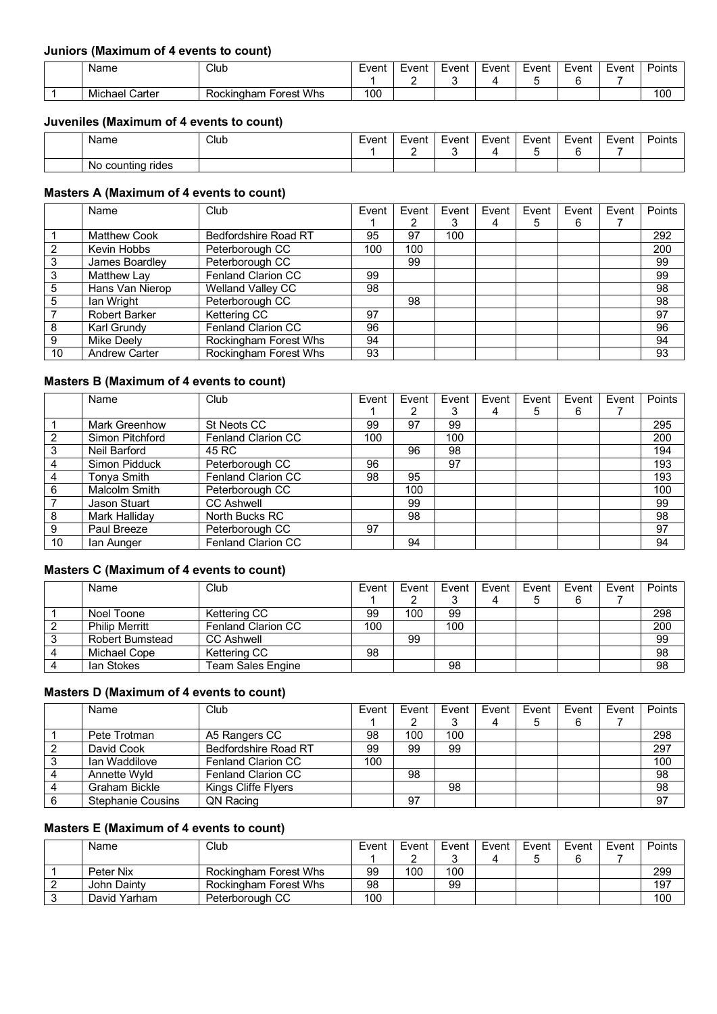#### **Juniors (Maximum of 4 events to count)**

| Name              | Club                            | Event | Event | Event | Event | Event | Event | -<br>Event | $\overline{\phantom{a}}$<br>Points |
|-------------------|---------------------------------|-------|-------|-------|-------|-------|-------|------------|------------------------------------|
|                   |                                 |       |       |       |       |       |       |            |                                    |
| Michael<br>Carter | <b>Forest Whs</b><br>Rockingham | 100   |       |       |       |       |       |            | 100                                |

#### **Juveniles (Maximum of 4 events to count)**

| Name                    | Club | Event | Event | Event | Event | Event | Event | Event | Points |
|-------------------------|------|-------|-------|-------|-------|-------|-------|-------|--------|
| rides<br>countina<br>N0 |      |       |       |       |       |       |       |       |        |

### **Masters A (Maximum of 4 events to count)**

|    | Name                 | Club                     | Event | Event | Event | Event | Event | Event | Event | Points |
|----|----------------------|--------------------------|-------|-------|-------|-------|-------|-------|-------|--------|
|    |                      |                          |       |       |       |       | 5     | 6     |       |        |
|    | Matthew Cook         | Bedfordshire Road RT     | 95    | 97    | 100   |       |       |       |       | 292    |
|    | Kevin Hobbs          | Peterborough CC          | 100   | 100   |       |       |       |       |       | 200    |
|    | James Boardley       | Peterborough CC          |       | 99    |       |       |       |       |       | 99     |
| 3  | Matthew Lay          | Fenland Clarion CC       | 99    |       |       |       |       |       |       | 99     |
| 5  | Hans Van Nierop      | <b>Welland Valley CC</b> | 98    |       |       |       |       |       |       | 98     |
| 5  | lan Wright           | Peterborough CC          |       | 98    |       |       |       |       |       | 98     |
|    | <b>Robert Barker</b> | Kettering CC             | 97    |       |       |       |       |       |       | 97     |
| 8  | Karl Grundy          | Fenland Clarion CC       | 96    |       |       |       |       |       |       | 96     |
| 9  | Mike Deely           | Rockingham Forest Whs    | 94    |       |       |       |       |       |       | 94     |
| 10 | <b>Andrew Carter</b> | Rockingham Forest Whs    | 93    |       |       |       |       |       |       | 93     |

#### **Masters B (Maximum of 4 events to count)**

|    | Name                 | Club               | Event | Event | Event | Event | Event | Event | Event | Points |
|----|----------------------|--------------------|-------|-------|-------|-------|-------|-------|-------|--------|
|    |                      |                    |       |       | 3     | 4     | 5     | 6     |       |        |
|    | <b>Mark Greenhow</b> | St Neots CC        | 99    | 97    | 99    |       |       |       |       | 295    |
|    | Simon Pitchford      | Fenland Clarion CC | 100   |       | 100   |       |       |       |       | 200    |
| 3  | Neil Barford         | 45 RC              |       | 96    | 98    |       |       |       |       | 194    |
|    | Simon Pidduck        | Peterborough CC    | 96    |       | 97    |       |       |       |       | 193    |
| 4  | Tonya Smith          | Fenland Clarion CC | 98    | 95    |       |       |       |       |       | 193    |
| 6  | Malcolm Smith        | Peterborough CC    |       | 100   |       |       |       |       |       | 100    |
|    | <b>Jason Stuart</b>  | <b>CC Ashwell</b>  |       | 99    |       |       |       |       |       | 99     |
| 8  | Mark Halliday        | North Bucks RC     |       | 98    |       |       |       |       |       | 98     |
| 9  | Paul Breeze          | Peterborough CC    | 97    |       |       |       |       |       |       | 97     |
| 10 | lan Aunger           | Fenland Clarion CC |       | 94    |       |       |       |       |       | 94     |

#### **Masters C (Maximum of 4 events to count)**

| Name                   | Club               | Event | Event | Event | Event I | Event | Event | Event | Points |
|------------------------|--------------------|-------|-------|-------|---------|-------|-------|-------|--------|
|                        |                    |       |       |       |         |       | 6     |       |        |
| Noel Toone             | Kettering CC       | 99    | 100   | 99    |         |       |       |       | 298    |
| <b>Philip Merritt</b>  | Fenland Clarion CC | 100   |       | 100   |         |       |       |       | 200    |
| <b>Robert Bumstead</b> | <b>CC Ashwell</b>  |       | 99    |       |         |       |       |       | 99     |
| Michael Cope           | Kettering CC       | 98    |       |       |         |       |       |       | 98     |
| lan Stokes             | Team Sales Engine  |       |       | 98    |         |       |       |       | 98     |

#### **Masters D (Maximum of 4 events to count)**

| Name                     | Club                        | Event | Event | Event | Event | Event | Event | Event | Points |
|--------------------------|-----------------------------|-------|-------|-------|-------|-------|-------|-------|--------|
|                          |                             |       |       |       | 4     | 5     | 6     |       |        |
| Pete Trotman             | A5 Rangers CC               | 98    | 100   | 100   |       |       |       |       | 298    |
| David Cook               | <b>Bedfordshire Road RT</b> | 99    | 99    | 99    |       |       |       |       | 297    |
| Ian Waddilove            | <b>Fenland Clarion CC</b>   | 100   |       |       |       |       |       |       | 100    |
| Annette Wyld             | <b>Fenland Clarion CC</b>   |       | 98    |       |       |       |       |       | 98     |
| Graham Bickle            | Kings Cliffe Flyers         |       |       | 98    |       |       |       |       | 98     |
| <b>Stephanie Cousins</b> | QN Racing                   |       | 97    |       |       |       |       |       | 97     |

### **Masters E (Maximum of 4 events to count)**

| Name         | Club                  | Event | Event | Event | Event | Event | Event | Event | Points |
|--------------|-----------------------|-------|-------|-------|-------|-------|-------|-------|--------|
|              |                       |       |       |       |       |       |       |       |        |
| Peter Nix    | Rockingham Forest Whs | 99    | 100   | 100   |       |       |       |       | 299    |
| John Dainty  | Rockingham Forest Whs | 98    |       | 99    |       |       |       |       | 197    |
| David Yarham | Peterborough CC       | 100   |       |       |       |       |       |       | 100    |